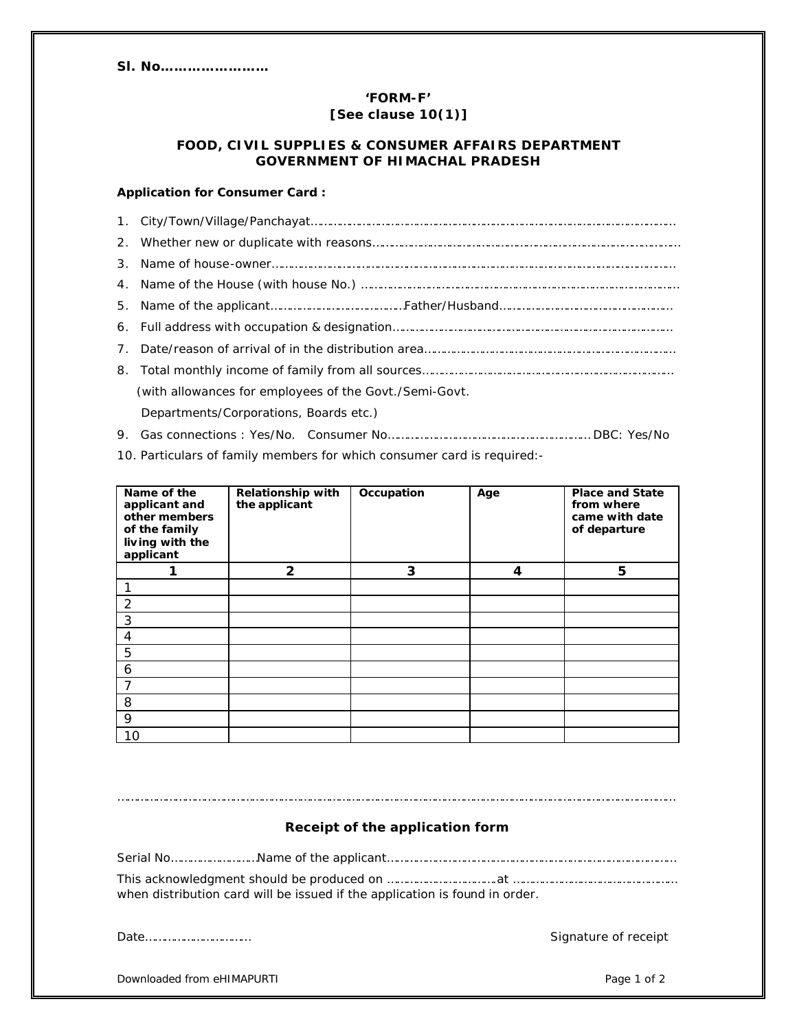# **Sl. No……………………**

# **'FORM-F' [See clause 10(1)]**

## **FOOD, CIVIL SUPPLIES & CONSUMER AFFAIRS DEPARTMENT GOVERNMENT OF HIMACHAL PRADESH**

### **Application for Consumer Card :**

| (with allowances for employees of the Govt./Semi-Govt. |
|--------------------------------------------------------|
| Departments/Corporations, Boards etc.)                 |

- 9. Gas connections : Yes/No. Consumer No……………………………………………………… DBC: Yes/No
- 10. Particulars of family members for which consumer card is required:-

| Name of the<br>applicant and<br>other members<br>of the family<br>living with the<br>applicant | <b>Relationship with</b><br>the applicant | Occupation | Age | <b>Place and State</b><br>from where<br>came with date<br>of departure |
|------------------------------------------------------------------------------------------------|-------------------------------------------|------------|-----|------------------------------------------------------------------------|
|                                                                                                | $\mathbf{2}$                              | 3          | 4   | 5                                                                      |
|                                                                                                |                                           |            |     |                                                                        |
| 2                                                                                              |                                           |            |     |                                                                        |
| 3                                                                                              |                                           |            |     |                                                                        |
| 4                                                                                              |                                           |            |     |                                                                        |
| 5                                                                                              |                                           |            |     |                                                                        |
| 6                                                                                              |                                           |            |     |                                                                        |
| 7                                                                                              |                                           |            |     |                                                                        |
| 8                                                                                              |                                           |            |     |                                                                        |
| 9                                                                                              |                                           |            |     |                                                                        |
| 10                                                                                             |                                           |            |     |                                                                        |

### **Receipt of the application form**

…………………………………………………………………………………………………………………………………………………………

Serial No………………………Name of the applicant……………………………………………………………………………… This acknowledgment should be produced on …………………………….at ……………………………………………

when distribution card will be issued if the application is found in order.

Date…………………………… Signature of receipt

Downloaded from eHIMAPURTI **Page 1 of 2** Page 1 of 2